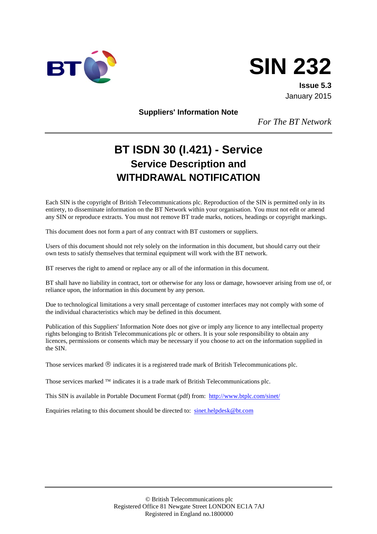



**Issue 5.3** January 2015

**Suppliers' Information Note**

*For The BT Network*

# **BT ISDN 30 (I.421) - Service Service Description and WITHDRAWAL NOTIFICATION**

Each SIN is the copyright of British Telecommunications plc. Reproduction of the SIN is permitted only in its entirety, to disseminate information on the BT Network within your organisation. You must not edit or amend any SIN or reproduce extracts. You must not remove BT trade marks, notices, headings or copyright markings.

This document does not form a part of any contract with BT customers or suppliers.

Users of this document should not rely solely on the information in this document, but should carry out their own tests to satisfy themselves that terminal equipment will work with the BT network.

BT reserves the right to amend or replace any or all of the information in this document.

BT shall have no liability in contract, tort or otherwise for any loss or damage, howsoever arising from use of, or reliance upon, the information in this document by any person.

Due to technological limitations a very small percentage of customer interfaces may not comply with some of the individual characteristics which may be defined in this document.

Publication of this Suppliers' Information Note does not give or imply any licence to any intellectual property rights belonging to British Telecommunications plc or others. It is your sole responsibility to obtain any licences, permissions or consents which may be necessary if you choose to act on the information supplied in the SIN.

Those services marked  $\mathcal{R}$  indicates it is a registered trade mark of British Telecommunications plc.

Those services marked  $TM$  indicates it is a trade mark of British Telecommunications plc.

This SIN is available in Portable Document Format (pdf) from: <http://www.btplc.com/sinet/>

Enquiries relating to this document should be directed to: [sinet.helpdesk@bt.com](mailto:sinet.helpdesk@bt.com)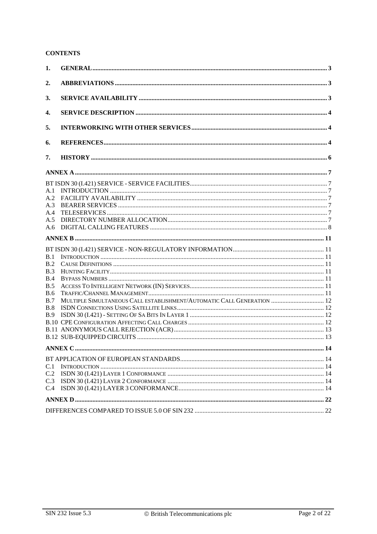#### **CONTENTS**

| 1.                                                                 |                                                                                          |  |
|--------------------------------------------------------------------|------------------------------------------------------------------------------------------|--|
| 2.                                                                 |                                                                                          |  |
| 3.                                                                 |                                                                                          |  |
| 4.                                                                 |                                                                                          |  |
| 5.                                                                 |                                                                                          |  |
| 6.                                                                 |                                                                                          |  |
| 7.                                                                 |                                                                                          |  |
|                                                                    |                                                                                          |  |
| A.1<br>A.2<br>A.3<br>A.4<br>A.5<br>A.6                             |                                                                                          |  |
|                                                                    |                                                                                          |  |
| B.1<br>B.2<br>B.3<br>B.4<br>B.5<br>B.6<br>B.7<br>B.8<br><b>B.9</b> | MULTIPLE SIMULTANEOUS CALL ESTABLISHMENT/AUTOMATIC CALL GENERATION  12<br><b>ANNEX C</b> |  |
|                                                                    |                                                                                          |  |
| C.1<br>C.2<br>C.3<br>C.4                                           |                                                                                          |  |
|                                                                    |                                                                                          |  |
|                                                                    |                                                                                          |  |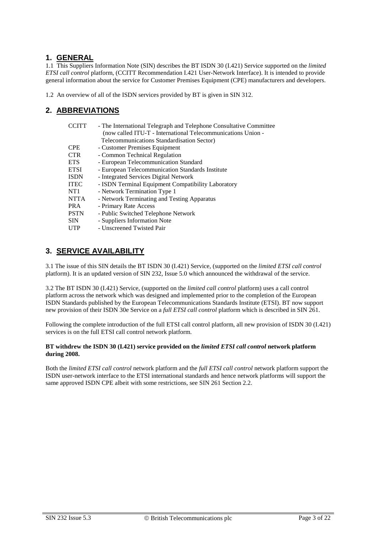### **1. GENERAL**

1.1 This Suppliers Information Note (SIN) describes the BT ISDN 30 (I.421) Service supported on the *limited ETSI call control* platform, (CCITT Recommendation I.421 User-Network Interface). It is intended to provide general information about the service for Customer Premises Equipment (CPE) manufacturers and developers.

1.2 An overview of all of the ISDN services provided by BT is given in SIN 312.

# **2. ABBREVIATIONS**

| CCITT           | - The International Telegraph and Telephone Consultative Committee<br>(now called ITU-T - International Telecommunications Union - |
|-----------------|------------------------------------------------------------------------------------------------------------------------------------|
|                 | Telecommunications Standardisation Sector)                                                                                         |
| <b>CPE</b>      | - Customer Premises Equipment                                                                                                      |
| <b>CTR</b>      | - Common Technical Regulation                                                                                                      |
| <b>ETS</b>      | - European Telecommunication Standard                                                                                              |
| <b>ETSI</b>     | - European Telecommunication Standards Institute                                                                                   |
| <b>ISDN</b>     | - Integrated Services Digital Network                                                                                              |
| <b>ITEC</b>     | - ISDN Terminal Equipment Compatibility Laboratory                                                                                 |
| NT <sub>1</sub> | - Network Termination Type 1                                                                                                       |
| <b>NTTA</b>     | - Network Terminating and Testing Apparatus                                                                                        |
| <b>PRA</b>      | - Primary Rate Access                                                                                                              |
| <b>PSTN</b>     | - Public Switched Telephone Network                                                                                                |
| <b>SIN</b>      | - Suppliers Information Note                                                                                                       |
| <b>UTP</b>      | - Unscreened Twisted Pair                                                                                                          |

# **3. SERVICE AVAILABILITY**

3.1 The issue of this SIN details the BT ISDN 30 (I.421) Service, (supported on the *limited ETSI call control* platform). It is an updated version of SIN 232, Issue 5.0 which announced the withdrawal of the service.

3.2 The BT ISDN 30 (I.421) Service, (supported on the *limited call control* platform) uses a call control platform across the network which was designed and implemented prior to the completion of the European ISDN Standards published by the European Telecommunications Standards Institute (ETSI). BT now support new provision of their ISDN 30e Service on a *full ETSI call control* platform which is described in SIN 261.

Following the complete introduction of the full ETSI call control platform, all new provision of ISDN 30 (I.421) services is on the full ETSI call control network platform.

#### **BT withdrew the ISDN 30 (I.421) service provided on the** *limited ETSI call control* **network platform during 2008.**

Both the *limited ETSI call control* network platform and the *full ETSI call control* network platform support the ISDN user-network interface to the ETSI international standards and hence network platforms will support the same approved ISDN CPE albeit with some restrictions, see SIN 261 Section 2.2.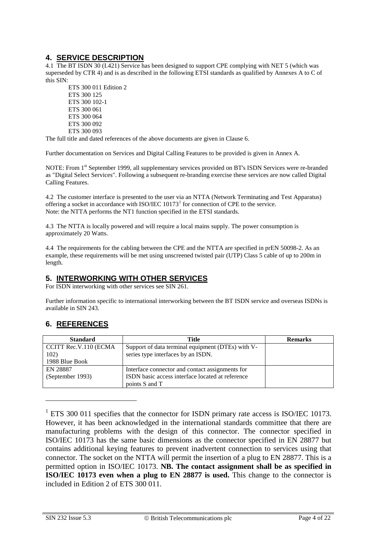# **4. SERVICE DESCRIPTION**

4.1 The BT ISDN 30 (I.421) Service has been designed to support CPE complying with NET 5 (which was superseded by CTR 4) and is as described in the following ETSI standards as qualified by Annexes A to C of this SIN:

ETS 300 011 Edition 2 ETS 300 125 ETS 300 102-1 ETS 300 061 ETS 300 064 ETS 300 092 ETS 300 093

The full title and dated references of the above documents are given in Clause 6.

Further documentation on Services and Digital Calling Features to be provided is given in Annex A.

NOTE: From 1<sup>st</sup> September 1999, all supplementary services provided on BT's ISDN Services were re-branded as "Digital Select Services". Following a subsequent re-branding exercise these services are now called Digital Calling Features.

4.2 The customer interface is presented to the user via an NTTA (Network Terminating and Test Apparatus) offering a socket in accordance with ISO/IEC  $10173<sup>1</sup>$  $10173<sup>1</sup>$  for connection of CPE to the service. Note: the NTTA performs the NT1 function specified in the ETSI standards.

4.3 The NTTA is locally powered and will require a local mains supply. The power consumption is approximately 20 Watts.

4.4 The requirements for the cabling between the CPE and the NTTA are specified in prEN 50098-2. As an example, these requirements will be met using unscreened twisted pair (UTP) Class 5 cable of up to 200m in length.

### **5. INTERWORKING WITH OTHER SERVICES**

For ISDN interworking with other services see SIN 261.

Further information specific to international interworking between the BT ISDN service and overseas ISDNs is available in SIN 243.

# **6. REFERENCES**

| <b>Standard</b>       | Title                                             | <b>Remarks</b> |
|-----------------------|---------------------------------------------------|----------------|
| CCITT Rec.V.110 (ECMA | Support of data terminal equipment (DTEs) with V- |                |
| 102)                  | series type interfaces by an ISDN.                |                |
| 1988 Blue Book        |                                                   |                |
| EN 28887              | Interface connector and contact assignments for   |                |
| (September 1993)      | ISDN basic access interface located at reference  |                |
|                       | points S and T                                    |                |

<span id="page-3-0"></span> $1$  ETS 300 011 specifies that the connector for ISDN primary rate access is ISO/IEC 10173. However, it has been acknowledged in the international standards committee that there are manufacturing problems with the design of this connector. The connector specified in ISO/IEC 10173 has the same basic dimensions as the connector specified in EN 28877 but contains additional keying features to prevent inadvertent connection to services using that connector. The socket on the NTTA will permit the insertion of a plug to EN 28877. This is a permitted option in ISO/IEC 10173. **NB. The contact assignment shall be as specified in ISO/IEC 10173 even when a plug to EN 28877 is used.** This change to the connector is included in Edition 2 of ETS 300 011.

-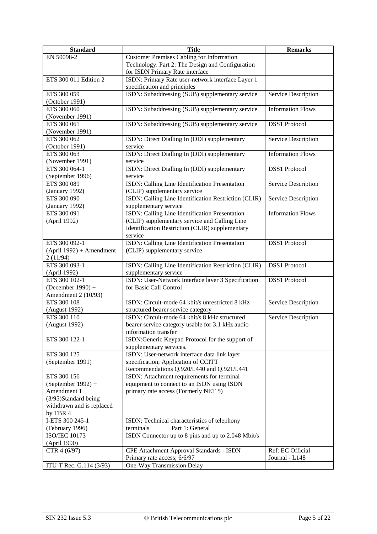| <b>Standard</b>                  | <b>Title</b>                                                                        | <b>Remarks</b>           |
|----------------------------------|-------------------------------------------------------------------------------------|--------------------------|
| EN 50098-2                       | <b>Customer Premises Cabling for Information</b>                                    |                          |
|                                  | Technology. Part 2: The Design and Configuration                                    |                          |
|                                  | for ISDN Primary Rate interface                                                     |                          |
| ETS 300 011 Edition 2            | ISDN: Primary Rate user-network interface Layer 1                                   |                          |
|                                  | specification and principles                                                        |                          |
| ETS 300 059                      | ISDN: Subaddressing (SUB) supplementary service                                     | Service Description      |
| (October 1991)                   |                                                                                     |                          |
| ETS 300 060                      | ISDN: Subaddressing (SUB) supplementary service                                     | <b>Information Flows</b> |
| (November 1991)                  |                                                                                     |                          |
| ETS 300 061                      | ISDN: Subaddressing (SUB) supplementary service                                     | <b>DSS1</b> Protocol     |
| (November 1991)                  |                                                                                     |                          |
| ETS 300 062                      | ISDN: Direct Dialling In (DDI) supplementary                                        | Service Description      |
| (October 1991)                   | service                                                                             |                          |
| ETS 300 063                      | ISDN: Direct Dialling In (DDI) supplementary<br>service                             | <b>Information Flows</b> |
| (November 1991)<br>ETS 300 064-1 | ISDN: Direct Dialling In (DDI) supplementary                                        | <b>DSS1</b> Protocol     |
| (September 1996)                 | service                                                                             |                          |
| ETS 300 089                      | ISDN: Calling Line Identification Presentation                                      | Service Description      |
| (January 1992)                   | (CLIP) supplementary service                                                        |                          |
| ETS 300 090                      | ISDN: Calling Line Identification Restriction (CLIR)                                | Service Description      |
| (January 1992)                   | supplementary service                                                               |                          |
| ETS 300 091                      | ISDN: Calling Line Identification Presentation                                      | <b>Information Flows</b> |
| (April 1992)                     | (CLIP) supplementary service and Calling Line                                       |                          |
|                                  | Identification Restriction (CLIR) supplementary                                     |                          |
|                                  | service                                                                             |                          |
| ETS 300 092-1                    | ISDN: Calling Line Identification Presentation                                      | <b>DSS1</b> Protocol     |
| $(April 1992) + A mendment$      | (CLIP) supplementary service                                                        |                          |
| 2(11/94)                         |                                                                                     |                          |
| ETS 300 093-1                    | ISDN: Calling Line Identification Restriction (CLIR)                                | <b>DSS1</b> Protocol     |
| (April 1992)                     | supplementary service                                                               |                          |
| ETS 300 102-1                    | ISDN: User-Network Interface layer 3 Specification                                  | <b>DSS1</b> Protocol     |
| (December 1990) +                | for Basic Call Control                                                              |                          |
| Amendment 2 (10/93)              |                                                                                     |                          |
| ETS 300 108                      | ISDN: Circuit-mode 64 kbit/s unrestricted 8 kHz                                     | Service Description      |
| (August 1992)                    | structured bearer service category                                                  |                          |
| ETS 300 110                      | ISDN: Circuit-mode 64 kbit/s 8 kHz structured                                       | Service Description      |
| (August 1992)                    | bearer service category usable for 3.1 kHz audio                                    |                          |
|                                  | information transfer                                                                |                          |
| ETS 300 122-1                    | ISDN:Generic Keypad Protocol for the support of                                     |                          |
|                                  | supplementary services.                                                             |                          |
| ETS 300 125<br>(September 1991)  | ISDN: User-network interface data link layer<br>specification; Application of CCITT |                          |
|                                  | Recommendations Q.920/I.440 and Q.921/I.441                                         |                          |
| ETS 300 156                      | ISDN: Attachment requirements for terminal                                          |                          |
| $(September 1992) +$             | equipment to connect to an ISDN using ISDN                                          |                          |
| Amendment 1                      | primary rate access (Formerly NET 5)                                                |                          |
| (3/95)Standard being             |                                                                                     |                          |
| withdrawn and is replaced        |                                                                                     |                          |
| by TBR 4                         |                                                                                     |                          |
| I-ETS 300 245-1                  | ISDN; Technical characteristics of telephony                                        |                          |
| (February 1996)                  | Part 1: General<br>terminals                                                        |                          |
| <b>ISO/IEC 10173</b>             | ISDN Connector up to 8 pins and up to 2.048 Mbit/s                                  |                          |
| (April 1990)                     |                                                                                     |                          |
| CTR 4 (6/97)                     | CPE Attachment Approval Standards - ISDN                                            | Ref: EC Official         |
|                                  | Primary rate access; 6/6/97                                                         | Journal - L148           |
| ITU-T Rec. G.114 (3/93)          | One-Way Transmission Delay                                                          |                          |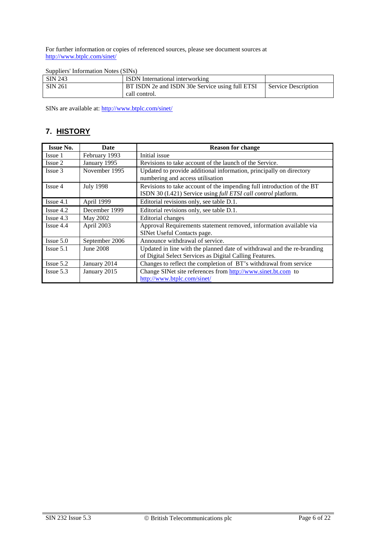For further information or copies of referenced sources, please see document sources at <http://www.btplc.com/sinet/>

| Suppliers' Information Notes (SINs) |
|-------------------------------------|
|-------------------------------------|

| SIN 243 | <b>ISDN</b> International interworking          |                            |
|---------|-------------------------------------------------|----------------------------|
| SIN 261 | BT ISDN 2e and ISDN 30e Service using full ETSI | <b>Service Description</b> |
|         | call control.                                   |                            |

SINs are available at:<http://www.btplc.com/sinet/>

# **7. HISTORY**

| <b>Issue No.</b> | Date             | <b>Reason for change</b>                                                                                                                 |  |
|------------------|------------------|------------------------------------------------------------------------------------------------------------------------------------------|--|
| Issue 1          | February 1993    | Initial issue                                                                                                                            |  |
| Issue 2          | January 1995     | Revisions to take account of the launch of the Service.                                                                                  |  |
| Issue 3          | November 1995    | Updated to provide additional information, principally on directory<br>numbering and access utilisation                                  |  |
| Issue 4          | <b>July 1998</b> | Revisions to take account of the impending full introduction of the BT<br>ISDN 30 (I.421) Service using full ETSI call control platform. |  |
| $I$ ssue 4.1     | April 1999       | Editorial revisions only, see table D.1.                                                                                                 |  |
| $I$ ssue 4.2     | December 1999    | Editorial revisions only, see table D.1.                                                                                                 |  |
| $I$ ssue 4.3     | May 2002         | Editorial changes                                                                                                                        |  |
| $I$ ssue 4.4     | April 2003       | Approval Requirements statement removed, information available via<br>SINet Useful Contacts page.                                        |  |
| $I$ ssue 5.0     | September 2006   | Announce withdrawal of service.                                                                                                          |  |
| $I$ ssue 5.1     | June 2008        | Updated in line with the planned date of withdrawal and the re-branding<br>of Digital Select Services as Digital Calling Features.       |  |
| $I$ ssue 5.2     | January 2014     | Changes to reflect the completion of BT's withdrawal from service                                                                        |  |
| $I$ ssue 5.3     | January 2015     | Change SINet site references from http://www.sinet.bt.com to<br>http://www.btplc.com/sinet/                                              |  |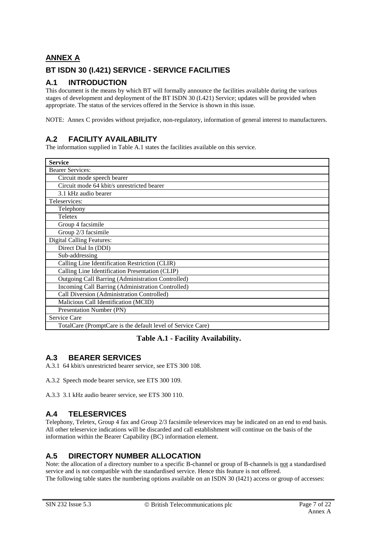# **ANNEX A BT ISDN 30 (I.421) SERVICE - SERVICE FACILITIES**

# **A.1 INTRODUCTION**

This document is the means by which BT will formally announce the facilities available during the various stages of development and deployment of the BT ISDN 30 (I.421) Service; updates will be provided when appropriate. The status of the services offered in the Service is shown in this issue.

NOTE: Annex C provides without prejudice, non-regulatory, information of general interest to manufacturers.

# **A.2 FACILITY AVAILABILITY**

The information supplied in Table A.1 states the facilities available on this service.

| <b>Service</b>                                              |  |  |
|-------------------------------------------------------------|--|--|
| <b>Bearer Services:</b>                                     |  |  |
| Circuit mode speech bearer                                  |  |  |
| Circuit mode 64 kbit/s unrestricted bearer                  |  |  |
| 3.1 kHz audio bearer                                        |  |  |
| Teleservices:                                               |  |  |
| Telephony                                                   |  |  |
| Teletex                                                     |  |  |
| Group 4 facsimile                                           |  |  |
| Group 2/3 facsimile                                         |  |  |
| <b>Digital Calling Features:</b>                            |  |  |
| Direct Dial In (DDI)                                        |  |  |
| Sub-addressing                                              |  |  |
| Calling Line Identification Restriction (CLIR)              |  |  |
| Calling Line Identification Presentation (CLIP)             |  |  |
| <b>Outgoing Call Barring (Administration Controlled)</b>    |  |  |
| Incoming Call Barring (Administration Controlled)           |  |  |
| Call Diversion (Administration Controlled)                  |  |  |
| Malicious Call Identification (MCID)                        |  |  |
| Presentation Number (PN)                                    |  |  |
| Service Care                                                |  |  |
| TotalCare (PromptCare is the default level of Service Care) |  |  |

### **Table A.1 - Facility Availability.**

## **A.3 BEARER SERVICES**

A.3.1 64 kbit/s unrestricted bearer service, see ETS 300 108.

A.3.2 Speech mode bearer service, see ETS 300 109.

A.3.3 3.1 kHz audio bearer service, see ETS 300 110.

## **A.4 TELESERVICES**

Telephony, Teletex, Group 4 fax and Group 2/3 facsimile teleservices may be indicated on an end to end basis. All other teleservice indications will be discarded and call establishment will continue on the basis of the information within the Bearer Capability (BC) information element.

# **A.5 DIRECTORY NUMBER ALLOCATION**

Note: the allocation of a directory number to a specific B-channel or group of B-channels is not a standardised service and is not compatible with the standardised service. Hence this feature is not offered. The following table states the numbering options available on an ISDN 30 (I421) access or group of accesses: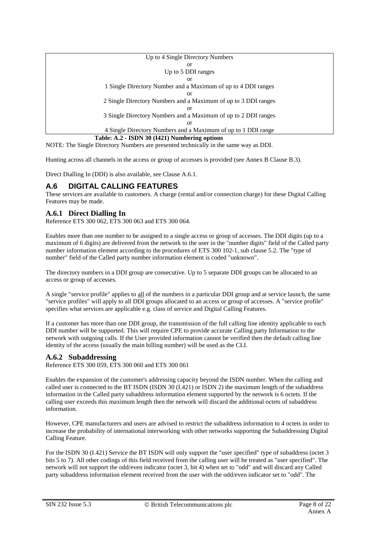| Up to 4 Single Directory Numbers                               |  |  |
|----------------------------------------------------------------|--|--|
| <sub>or</sub>                                                  |  |  |
| Up to 5 DDI ranges                                             |  |  |
| or                                                             |  |  |
| 1 Single Directory Number and a Maximum of up to 4 DDI ranges  |  |  |
| or                                                             |  |  |
| 2 Single Directory Numbers and a Maximum of up to 3 DDI ranges |  |  |
| or                                                             |  |  |
| 3 Single Directory Numbers and a Maximum of up to 2 DDI ranges |  |  |
| or                                                             |  |  |
| 4 Single Directory Numbers and a Maximum of up to 1 DDI range  |  |  |
| Table: A.2 - ISDN 30 (I421) Numbering options                  |  |  |

NOTE: The Single Directory Numbers are presented technically in the same way as DDI.

Hunting across all channels in the access or group of accesses is provided (see Annex B Clause B.3).

Direct Dialling In (DDI) is also available, see Clause A.6.1.

### **A.6 DIGITAL CALLING FEATURES**

These services are available to customers. A charge (rental and/or connection charge) for these Digital Calling Features may be made.

#### **A.6.1 Direct Dialling In**

Reference ETS 300 062, ETS 300 063 and ETS 300 064.

Enables more than one number to be assigned to a single access or group of accesses. The DDI digits (up to a maximum of 6 digits) are delivered from the network to the user in the "number digits" field of the Called party number information element according to the procedures of ETS 300 102-1, sub clause 5.2. The "type of number" field of the Called party number information element is coded "unknown".

The directory numbers in a DDI group are consecutive. Up to 5 separate DDI groups can be allocated to an access or group of accesses.

A single "service profile" applies to all of the numbers in a particular DDI group and at service launch, the same "service profiles" will apply to all DDI groups allocated to an access or group of accesses. A "service profile" specifies what services are applicable e.g. class of service and Digital Calling Features.

If a customer has more than one DDI group, the transmission of the full calling line identity applicable to each DDI number will be supported. This will require CPE to provide accurate Calling party Information to the network with outgoing calls. If the User provided information cannot be verified then the default calling line identity of the access (usually the main billing number) will be used as the CLI.

#### **A.6.2 Subaddressing**

Reference ETS 300 059, ETS 300 060 and ETS 300 061

Enables the expansion of the customer's addressing capacity beyond the ISDN number. When the calling and called user is connected to the BT ISDN (ISDN 30 (I.421) or ISDN 2) the maximum length of the subaddress information in the Called party subaddress information element supported by the network is 6 octets. If the calling user exceeds this maximum length then the network will discard the additional octets of subaddress information.

However, CPE manufacturers and users are advised to restrict the subaddress information to 4 octets in order to increase the probability of international interworking with other networks supporting the Subaddressing Digital Calling Feature.

For the ISDN 30 (I.421) Service the BT ISDN will only support the "user specified" type of subaddress (octet 3 bits 5 to 7). All other codings of this field received from the calling user will be treated as "user specified". The network will not support the odd/even indicator (octet 3, bit 4) when set to "odd" and will discard any Called party subaddress information element received from the user with the odd/even indicator set to "odd". The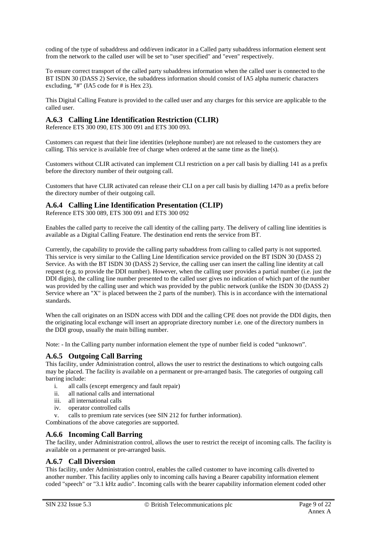coding of the type of subaddress and odd/even indicator in a Called party subaddress information element sent from the network to the called user will be set to "user specified" and "even" respectively.

To ensure correct transport of the called party subaddress information when the called user is connected to the BT ISDN 30 (DASS 2) Service, the subaddress information should consist of IA5 alpha numeric characters excluding, "#" (IA5 code for # is Hex 23).

This Digital Calling Feature is provided to the called user and any charges for this service are applicable to the called user.

### **A.6.3 Calling Line Identification Restriction (CLIR)**

Reference ETS 300 090, ETS 300 091 and ETS 300 093.

Customers can request that their line identities (telephone number) are not released to the customers they are calling. This service is available free of charge when ordered at the same time as the line(s).

Customers without CLIR activated can implement CLI restriction on a per call basis by dialling 141 as a prefix before the directory number of their outgoing call.

Customers that have CLIR activated can release their CLI on a per call basis by dialling 1470 as a prefix before the directory number of their outgoing call.

#### **A.6.4 Calling Line Identification Presentation (CLIP)**

Reference ETS 300 089, ETS 300 091 and ETS 300 092

Enables the called party to receive the call identity of the calling party. The delivery of calling line identities is available as a Digital Calling Feature. The destination end rents the service from BT.

Currently, the capability to provide the calling party subaddress from calling to called party is not supported. This service is very similar to the Calling Line Identification service provided on the BT ISDN 30 (DASS 2) Service. As with the BT ISDN 30 (DASS 2) Service, the calling user can insert the calling line identity at call request (e.g. to provide the DDI number). However, when the calling user provides a partial number (i.e. just the DDI digits), the calling line number presented to the called user gives no indication of which part of the number was provided by the calling user and which was provided by the public network (unlike the ISDN 30 (DASS 2) Service where an "X" is placed between the 2 parts of the number). This is in accordance with the international standards.

When the call originates on an ISDN access with DDI and the calling CPE does not provide the DDI digits, then the originating local exchange will insert an appropriate directory number i.e. one of the directory numbers in the DDI group, usually the main billing number.

Note: - In the Calling party number information element the type of number field is coded "unknown".

#### **A.6.5 Outgoing Call Barring**

This facility, under Administration control, allows the user to restrict the destinations to which outgoing calls may be placed. The facility is available on a permanent or pre-arranged basis. The categories of outgoing call barring include:

- i. all calls (except emergency and fault repair)
- ii. all national calls and international
- iii. all international calls
- iv. operator controlled calls
- v. calls to premium rate services (see SIN 212 for further information).

Combinations of the above categories are supported.

#### **A.6.6 Incoming Call Barring**

The facility, under Administration control, allows the user to restrict the receipt of incoming calls. The facility is available on a permanent or pre-arranged basis.

#### **A.6.7 Call Diversion**

This facility, under Administration control, enables the called customer to have incoming calls diverted to another number. This facility applies only to incoming calls having a Bearer capability information element coded "speech" or "3.1 kHz audio". Incoming calls with the bearer capability information element coded other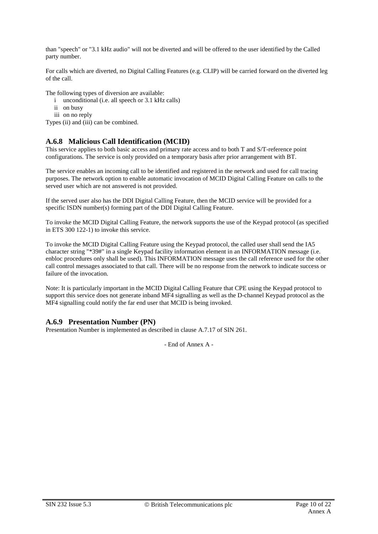than "speech" or "3.1 kHz audio" will not be diverted and will be offered to the user identified by the Called party number.

For calls which are diverted, no Digital Calling Features (e.g. CLIP) will be carried forward on the diverted leg of the call.

The following types of diversion are available:

- i unconditional (i.e. all speech or 3.1 kHz calls)
- ii on busy
- iii on no reply

Types (ii) and (iii) can be combined.

#### **A.6.8 Malicious Call Identification (MCID)**

This service applies to both basic access and primary rate access and to both T and S/T-reference point configurations. The service is only provided on a temporary basis after prior arrangement with BT.

The service enables an incoming call to be identified and registered in the network and used for call tracing purposes. The network option to enable automatic invocation of MCID Digital Calling Feature on calls to the served user which are not answered is not provided.

If the served user also has the DDI Digital Calling Feature, then the MCID service will be provided for a specific ISDN number(s) forming part of the DDI Digital Calling Feature.

To invoke the MCID Digital Calling Feature, the network supports the use of the Keypad protocol (as specified in ETS 300 122-1) to invoke this service.

To invoke the MCID Digital Calling Feature using the Keypad protocol, the called user shall send the IA5 character string "\*39#" in a single Keypad facility information element in an INFORMATION message (i.e. enbloc procedures only shall be used). This INFORMATION message uses the call reference used for the other call control messages associated to that call. There will be no response from the network to indicate success or failure of the invocation.

Note: It is particularly important in the MCID Digital Calling Feature that CPE using the Keypad protocol to support this service does not generate inband MF4 signalling as well as the D-channel Keypad protocol as the MF4 signalling could notify the far end user that MCID is being invoked.

#### **A.6.9 Presentation Number (PN)**

Presentation Number is implemented as described in clause A.7.17 of SIN 261.

- End of Annex A -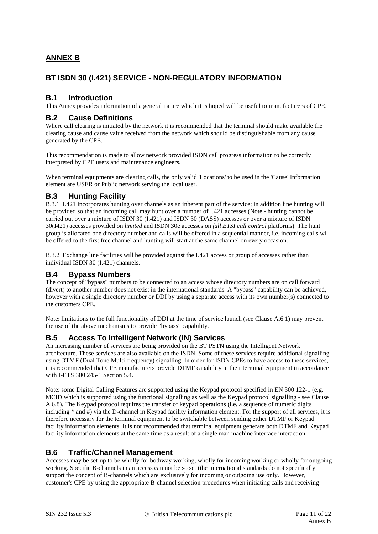# **ANNEX B**

# **BT ISDN 30 (I.421) SERVICE - NON-REGULATORY INFORMATION**

### **B.1 Introduction**

This Annex provides information of a general nature which it is hoped will be useful to manufacturers of CPE.

### **B.2 Cause Definitions**

Where call clearing is initiated by the network it is recommended that the terminal should make available the clearing cause and cause value received from the network which should be distinguishable from any cause generated by the CPE.

This recommendation is made to allow network provided ISDN call progress information to be correctly interpreted by CPE users and maintenance engineers.

When terminal equipments are clearing calls, the only valid 'Locations' to be used in the 'Cause' Information element are USER or Public network serving the local user.

### **B.3 Hunting Facility**

B.3.1 I.421 incorporates hunting over channels as an inherent part of the service; in addition line hunting will be provided so that an incoming call may hunt over a number of I.421 accesses (Note - hunting cannot be carried out over a mixture of ISDN 30 (I.421) and ISDN 30 (DASS) accesses or over a mixture of ISDN 30(I421) accesses provided on *limited* and ISDN 30e accesses on *full ETSI call control* platforms). The hunt group is allocated one directory number and calls will be offered in a sequential manner, i.e. incoming calls will be offered to the first free channel and hunting will start at the same channel on every occasion.

B.3.2 Exchange line facilities will be provided against the I.421 access or group of accesses rather than individual ISDN 30 (I.421) channels.

### **B.4 Bypass Numbers**

The concept of "bypass" numbers to be connected to an access whose directory numbers are on call forward (divert) to another number does not exist in the international standards. A "bypass" capability can be achieved, however with a single directory number or DDI by using a separate access with its own number(s) connected to the customers CPE.

Note: limitations to the full functionality of DDI at the time of service launch (see Clause A.6.1) may prevent the use of the above mechanisms to provide "bypass" capability.

## **B.5 Access To Intelligent Network (IN) Services**

An increasing number of services are being provided on the BT PSTN using the Intelligent Network architecture. These services are also available on the ISDN. Some of these services require additional signalling using DTMF (Dual Tone Multi-frequency) signalling. In order for ISDN CPEs to have access to these services, it is recommended that CPE manufacturers provide DTMF capability in their terminal equipment in accordance with I-ETS 300 245-1 Section 5.4.

Note: some Digital Calling Features are supported using the Keypad protocol specified in EN 300 122-1 (e.g. MCID which is supported using the functional signalling as well as the Keypad protocol signalling - see Clause A.6.8). The Keypad protocol requires the transfer of keypad operations (i.e. a sequence of numeric digits including \* and #) via the D-channel in Keypad facility information element. For the support of all services, it is therefore necessary for the terminal equipment to be switchable between sending either DTMF or Keypad facility information elements. It is not recommended that terminal equipment generate both DTMF and Keypad facility information elements at the same time as a result of a single man machine interface interaction.

## **B.6 Traffic/Channel Management**

Accesses may be set-up to be wholly for bothway working, wholly for incoming working or wholly for outgoing working. Specific B-channels in an access can not be so set (the international standards do not specifically support the concept of B-channels which are exclusively for incoming or outgoing use only. However, customer's CPE by using the appropriate B-channel selection procedures when initiating calls and receiving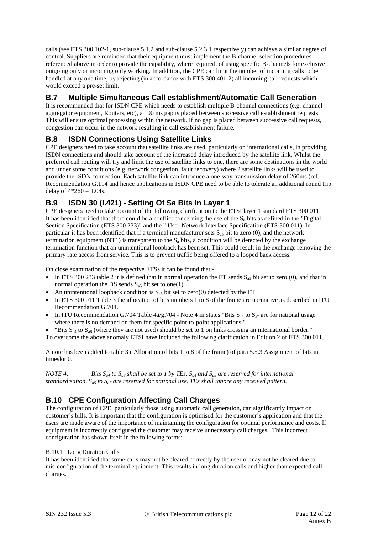calls (see ETS 300 102-1, sub-clause 5.1.2 and sub-clause 5.2.3.1 respectively) can achieve a similar degree of control. Suppliers are reminded that their equipment must implement the B-channel selection procedures referenced above in order to provide the capability, where required, of using specific B-channels for exclusive outgoing only or incoming only working. In addition, the CPE can limit the number of incoming calls to be handled at any one time, by rejecting (in accordance with ETS 300 401-2) all incoming call requests which would exceed a pre-set limit.

# **B.7 Multiple Simultaneous Call establishment/Automatic Call Generation**

It is recommended that for ISDN CPE which needs to establish multiple B-channel connections (e.g. channel aggregator equipment, Routers, etc), a 100 ms gap is placed between successive call establishment requests. This will ensure optimal processing within the network. If no gap is placed between successive call requests, congestion can occur in the network resulting in call establishment failure.

# **B.8 ISDN Connections Using Satellite Links**

CPE designers need to take account that satellite links are used, particularly on international calls, in providing ISDN connections and should take account of the increased delay introduced by the satellite link. Whilst the preferred call routing will try and limit the use of satellite links to one, there are some destinations in the world and under some conditions (e.g. network congestion, fault recovery) where 2 satellite links will be used to provide the ISDN connection. Each satellite link can introduce a one-way transmission delay of 260ms (ref. Recommendation G.114 and hence applications in ISDN CPE need to be able to tolerate an additional round trip delay of  $4*260 = 1.04$ s.

# **B.9 ISDN 30 (I.421) - Setting Of Sa Bits In Layer 1**

CPE designers need to take account of the following clarification to the ETSI layer 1 standard ETS 300 011. It has been identified that there could be a conflict concerning the use of the  $S_a$  bits as defined in the "Digital" Section Specification (ETS 300 233)" and the " User-Network Interface Specification (ETS 300 011). In particular it has been identified that if a terminal manufacturer sets  $S_{35}$  bit to zero (0), and the network termination equipment (NT1) is transparent to the  $S<sub>a</sub>$  bits, a condition will be detected by the exchange termination function that an unintentional loopback has been set. This could result in the exchange removing the primary rate access from service. This is to prevent traffic being offered to a looped back access.

On close examination of the respective ETSs it can be found that:-

- In ETS 300 233 table 2 it is defined that in normal operation the ET sends  $S_{a5}$  bit set to zero (0), and that in normal operation the DS sends  $S_{a5}$  bit set to one(1).
- An unintentional loopback condition is  $S_{a5}$  bit set to zero(0) detected by the ET.
- In ETS 300 011 Table 3 the allocation of bits numbers 1 to 8 of the frame are normative as described in ITU Recommendation G.704.
- In ITU Recommendation G.704 Table  $4a/g.704$  Note 4 iii states "Bits  $S_{a5}$  to  $S_{a7}$  are for national usage where there is no demand on them for specific point-to-point applications."
- "Bits  $S_{a4}$  to  $S_{a8}$  (where they are not used) should be set to 1 on links crossing an international border."
- To overcome the above anomaly ETSI have included the following clarification in Edition 2 of ETS 300 011.

A note has been added to table 3 ( Allocation of bits 1 to 8 of the frame) of para 5.5.3 Assignment of bits in timeslot 0.

*NOTE 4:* Bits  $S_{a4}$  to  $S_{a8}$  shall be set to 1 by TEs.  $S_{a4}$  and  $S_{a8}$  are reserved for international *standardisation, Sa5 to Sa7 are reserved for national use. TEs shall ignore any received pattern.*

# **B.10 CPE Configuration Affecting Call Charges**

The configuration of CPE, particularly those using automatic call generation, can significantly impact on customer's bills. It is important that the configuration is optimised for the customer's application and that the users are made aware of the importance of maintaining the configuration for optimal performance and costs. If equipment is incorrectly configured the customer may receive unnecessary call charges. This incorrect configuration has shown itself in the following forms:

#### B.10.1 Long Duration Calls

It has been identified that some calls may not be cleared correctly by the user or may not be cleared due to mis-configuration of the terminal equipment. This results in long duration calls and higher than expected call charges.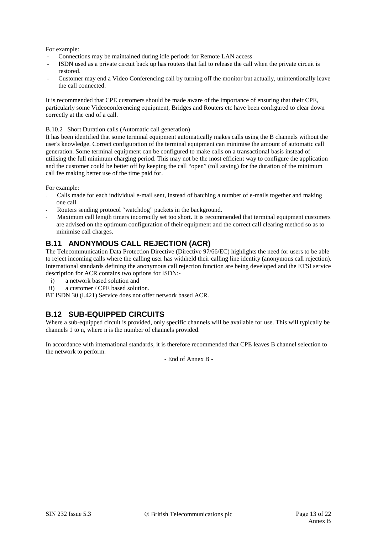For example:

- Connections may be maintained during idle periods for Remote LAN access
- ISDN used as a private circuit back up has routers that fail to release the call when the private circuit is restored.
- Customer may end a Video Conferencing call by turning off the monitor but actually, unintentionally leave the call connected.

It is recommended that CPE customers should be made aware of the importance of ensuring that their CPE, particularly some Videoconferencing equipment, Bridges and Routers etc have been configured to clear down correctly at the end of a call.

B.10.2 Short Duration calls (Automatic call generation)

It has been identified that some terminal equipment automatically makes calls using the B channels without the user's knowledge. Correct configuration of the terminal equipment can minimise the amount of automatic call generation. Some terminal equipment can be configured to make calls on a transactional basis instead of utilising the full minimum charging period. This may not be the most efficient way to configure the application and the customer could be better off by keeping the call "open" (toll saving) for the duration of the minimum call fee making better use of the time paid for.

For example:

- Calls made for each individual e-mail sent, instead of batching a number of e-mails together and making one call.
- Routers sending protocol "watchdog" packets in the background.
- Maximum call length timers incorrectly set too short. It is recommended that terminal equipment customers are advised on the optimum configuration of their equipment and the correct call clearing method so as to minimise call charges.

### **B.11 ANONYMOUS CALL REJECTION (ACR)**

The Telecommunication Data Protection Directive (Directive 97/66/EC) highlights the need for users to be able to reject incoming calls where the calling user has withheld their calling line identity (anonymous call rejection). International standards defining the anonymous call rejection function are being developed and the ETSI service description for ACR contains two options for ISDN:-

- i) a network based solution and<br>ii) a customer / CPE based solution
- a customer / CPE based solution.

BT ISDN 30 (I.421) Service does not offer network based ACR.

### **B.12 SUB-EQUIPPED CIRCUITS**

Where a sub-equipped circuit is provided, only specific channels will be available for use. This will typically be channels 1 to n, where n is the number of channels provided.

In accordance with international standards, it is therefore recommended that CPE leaves B channel selection to the network to perform.

- End of Annex B -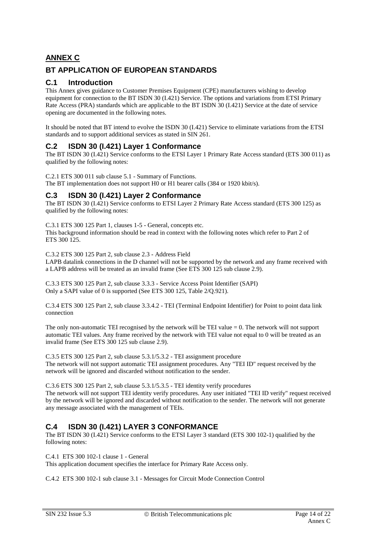# **ANNEX C**

# **BT APPLICATION OF EUROPEAN STANDARDS**

### **C.1 Introduction**

This Annex gives guidance to Customer Premises Equipment (CPE) manufacturers wishing to develop equipment for connection to the BT ISDN 30 (I.421) Service. The options and variations from ETSI Primary Rate Access (PRA) standards which are applicable to the BT ISDN 30 (I.421) Service at the date of service opening are documented in the following notes.

It should be noted that BT intend to evolve the ISDN 30 (I.421) Service to eliminate variations from the ETSI standards and to support additional services as stated in SIN 261.

#### **C.2 ISDN 30 (I.421) Layer 1 Conformance**

The BT ISDN 30 (I.421) Service conforms to the ETSI Layer 1 Primary Rate Access standard (ETS 300 011) as qualified by the following notes:

C.2.1 ETS 300 011 sub clause 5.1 - Summary of Functions. The BT implementation does not support H0 or H1 bearer calls (384 or 1920 kbit/s).

#### **C.3 ISDN 30 (I.421) Layer 2 Conformance**

The BT ISDN 30 (I.421) Service conforms to ETSI Layer 2 Primary Rate Access standard (ETS 300 125) as qualified by the following notes:

C.3.1 ETS 300 125 Part 1, clauses 1-5 - General, concepts etc.

This background information should be read in context with the following notes which refer to Part 2 of ETS 300 125.

C.3.2 ETS 300 125 Part 2, sub clause 2.3 - Address Field

LAPB datalink connections in the D channel will not be supported by the network and any frame received with a LAPB address will be treated as an invalid frame (See ETS 300 125 sub clause 2.9).

C.3.3 ETS 300 125 Part 2, sub clause 3.3.3 - Service Access Point Identifier (SAPI) Only a SAPI value of 0 is supported (See ETS 300 125, Table 2/Q.921).

C.3.4 ETS 300 125 Part 2, sub clause 3.3.4.2 - TEI (Terminal Endpoint Identifier) for Point to point data link connection

The only non-automatic TEI recognised by the network will be TEI value  $= 0$ . The network will not support automatic TEI values. Any frame received by the network with TEI value not equal to 0 will be treated as an invalid frame (See ETS 300 125 sub clause 2.9).

C.3.5 ETS 300 125 Part 2, sub clause 5.3.1/5.3.2 - TEI assignment procedure The network will not support automatic TEI assignment procedures. Any "TEI ID" request received by the network will be ignored and discarded without notification to the sender.

C.3.6 ETS 300 125 Part 2, sub clause 5.3.1/5.3.5 - TEI identity verify procedures The network will not support TEI identity verify procedures. Any user initiated "TEI ID verify" request received by the network will be ignored and discarded without notification to the sender. The network will not generate any message associated with the management of TEIs.

### **C.4 ISDN 30 (I.421) LAYER 3 CONFORMANCE**

The BT ISDN 30 (I.421) Service conforms to the ETSI Layer 3 standard (ETS 300 102-1) qualified by the following notes:

C.4.1 ETS 300 102-1 clause 1 - General

This application document specifies the interface for Primary Rate Access only.

C.4.2 ETS 300 102-1 sub clause 3.1 - Messages for Circuit Mode Connection Control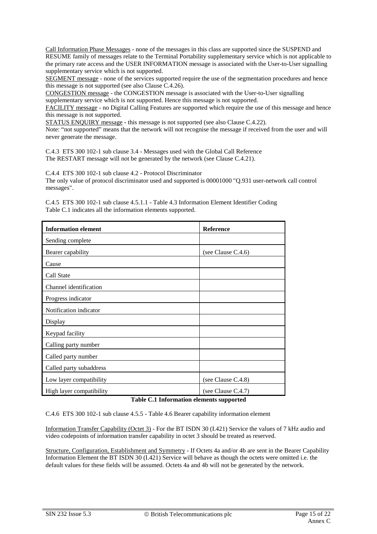Call Information Phase Messages - none of the messages in this class are supported since the SUSPEND and RESUME family of messages relate to the Terminal Portability supplementary service which is not applicable to the primary rate access and the USER INFORMATION message is associated with the User-to-User signalling supplementary service which is not supported.

SEGMENT message - none of the services supported require the use of the segmentation procedures and hence this message is not supported (see also Clause C.4.26).

CONGESTION message - the CONGESTION message is associated with the User-to-User signalling supplementary service which is not supported. Hence this message is not supported.

FACILITY message - no Digital Calling Features are supported which require the use of this message and hence this message is not supported.

STATUS ENQUIRY message - this message is not supported (see also Clause C.4.22).

Note: "not supported" means that the network will not recognise the message if received from the user and will never generate the message.

C.4.3 ETS 300 102-1 sub clause 3.4 - Messages used with the Global Call Reference The RESTART message will not be generated by the network (see Clause C.4.21).

C.4.4 ETS 300 102-1 sub clause 4.2 - Protocol Discriminator The only value of protocol discriminator used and supported is 00001000 "Q.931 user-network call control messages".

C.4.5 ETS 300 102-1 sub clause 4.5.1.1 - Table 4.3 Information Element Identifier Coding Table C.1 indicates all the information elements supported.

| <b>Information element</b>                    | <b>Reference</b>      |  |
|-----------------------------------------------|-----------------------|--|
| Sending complete                              |                       |  |
| Bearer capability                             | (see Clause $C.4.6$ ) |  |
| Cause                                         |                       |  |
| Call State                                    |                       |  |
| Channel identification                        |                       |  |
| Progress indicator                            |                       |  |
| Notification indicator                        |                       |  |
| Display                                       |                       |  |
| Keypad facility                               |                       |  |
| Calling party number                          |                       |  |
| Called party number                           |                       |  |
| Called party subaddress                       |                       |  |
| Low layer compatibility                       | (see Clause $C.4.8$ ) |  |
| High layer compatibility<br>$\cdots$ $\cdots$ | (see Clause C.4.7)    |  |

#### **Table C.1 Information elements supported**

C.4.6 ETS 300 102-1 sub clause 4.5.5 - Table 4.6 Bearer capability information element

Information Transfer Capability (Octet 3) - For the BT ISDN 30 (I.421) Service the values of 7 kHz audio and video codepoints of information transfer capability in octet 3 should be treated as reserved.

Structure, Configuration, Establishment and Symmetry - If Octets 4a and/or 4b are sent in the Bearer Capability Information Element the BT ISDN 30 (I.421) Service will behave as though the octets were omitted i.e. the default values for these fields will be assumed. Octets 4a and 4b will not be generated by the network.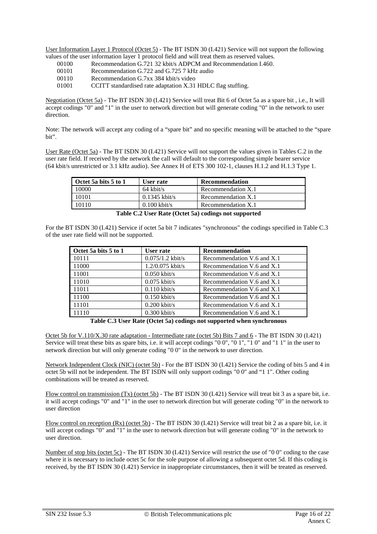User Information Layer 1 Protocol (Octet 5) - The BT ISDN 30 (I.421) Service will not support the following values of the user information layer 1 protocol field and will treat them as reserved values.

- 00100 Recommendation G.721 32 kbit/s ADPCM and Recommendation I.460.<br>00101 Recommendation G.722 and G.725 7 kHz audio
- Recommendation G.722 and G.725 7 kHz audio
- 00110 Recommendation G.7xx 384 kbit/s video
- 01001 CCITT standardised rate adaptation X.31 HDLC flag stuffing.

Negotiation (Octet 5a) - The BT ISDN 30 (I.421) Service will treat Bit 6 of Octet 5a as a spare bit , i.e., It will accept codings "0" and "1" in the user to network direction but will generate coding "0" in the network to user direction.

Note: The network will accept any coding of a "spare bit" and no specific meaning will be attached to the "spare bit".

User Rate (Octet 5a) - The BT ISDN 30 (I.421) Service will not support the values given in Tables C.2 in the user rate field. If received by the network the call will default to the corresponding simple bearer service (64 kbit/s unrestricted or 3.1 kHz audio). See Annex H of ETS 300 102-1, clauses H.1.2 and H.1.3 Type 1.

| $\blacksquare$ Octet 5a bits 5 to 1 | User rate           | Recommendation     |
|-------------------------------------|---------------------|--------------------|
| 10000                               | $64 \text{ kbit/s}$ | Recommendation X.1 |
| 10101                               | $0.1345$ kbit/s     | Recommendation X.1 |
| 10110                               | $0.100$ kbit/s      | Recommendation X.1 |

**Table C.2 User Rate (Octet 5a) codings not supported**

For the BT ISDN 30 (I.421) Service if octet 5a bit 7 indicates "synchronous" the codings specified in Table C.3 of the user rate field will not be supported.

| Octet 5a bits 5 to 1 | User rate          | Recommendation             |
|----------------------|--------------------|----------------------------|
| 10111                | $0.075/1.2$ kbit/s | Recommendation V.6 and X.1 |
| 11000                | $1.2/0.075$ kbit/s | Recommendation V.6 and X.1 |
| 11001                | $0.050$ kbit/s     | Recommendation V.6 and X.1 |
| 11010                | $0.075$ kbit/s     | Recommendation V.6 and X.1 |
| 11011                | $0.110$ kbit/s     | Recommendation V.6 and X.1 |
| 11100                | $0.150$ kbit/s     | Recommendation V.6 and X.1 |
| 11101                | $0.200$ kbit/s     | Recommendation V.6 and X.1 |
| 11110                | $0.300$ kbit/s     | Recommendation V.6 and X.1 |

**Table C.3 User Rate (Octet 5a) codings not supported when synchronous**

Octet 5b for V.110/X.30 rate adaptation - Intermediate rate (octet 5b) Bits 7 and 6 - The BT ISDN 30 (I.421) Service will treat these bits as spare bits, i.e. it will accept codings "0 0", "0 1", "1 0" and "1 1" in the user to network direction but will only generate coding "0 0" in the network to user direction.

Network Independent Clock (NIC) (octet 5b) - For the BT ISDN 30 (I.421) Service the coding of bits 5 and 4 in octet 5b will not be independent. The BT ISDN will only support codings "0 0" and "1 1". Other coding combinations will be treated as reserved.

Flow control on transmission (Tx) (octet 5b) - The BT ISDN 30 (I.421) Service will treat bit 3 as a spare bit, i.e. it will accept codings "0" and "1" in the user to network direction but will generate coding "0" in the network to user direction

Flow control on reception (Rx) (octet 5b) - The BT ISDN 30 (I.421) Service will treat bit 2 as a spare bit, i.e. it will accept codings "0" and "1" in the user to network direction but will generate coding "0" in the network to user direction.

Number of stop bits (octet 5c) - The BT ISDN 30 (I.421) Service will restrict the use of "0 0" coding to the case where it is necessary to include octet 5c for the sole purpose of allowing a subsequent octet 5d. If this coding is received, by the BT ISDN 30 (I.421) Service in inappropriate circumstances, then it will be treated as reserved.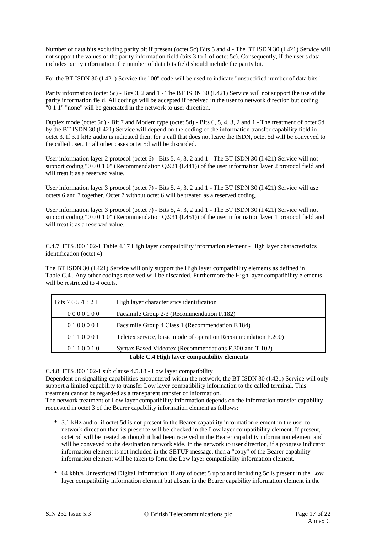Number of data bits excluding parity bit if present (octet 5c) Bits 5 and 4 - The BT ISDN 30 (I.421) Service will not support the values of the parity information field (bits 3 to 1 of octet 5c). Consequently, if the user's data includes parity information, the number of data bits field should include the parity bit.

For the BT ISDN 30 (I.421) Service the "00" code will be used to indicate "unspecified number of data bits".

Parity information (octet 5c) - Bits 3, 2 and 1 - The BT ISDN 30 (I.421) Service will not support the use of the parity information field. All codings will be accepted if received in the user to network direction but coding "0 1 1" "none" will be generated in the network to user direction.

Duplex mode (octet 5d) - Bit 7 and Modem type (octet 5d) - Bits 6, 5, 4, 3, 2 and 1 - The treatment of octet 5d by the BT ISDN 30 (I.421) Service will depend on the coding of the information transfer capability field in octet 3. If 3.1 kHz audio is indicated then, for a call that does not leave the ISDN, octet 5d will be conveyed to the called user. In all other cases octet 5d will be discarded.

User information layer 2 protocol (octet 6) - Bits 5, 4, 3, 2 and 1 - The BT ISDN 30 (I.421) Service will not support coding "0 0 0 1 0" (Recommendation Q.921 (I.441)) of the user information layer 2 protocol field and will treat it as a reserved value.

User information layer 3 protocol (octet 7) - Bits 5, 4, 3, 2 and 1 - The BT ISDN 30 (I.421) Service will use octets 6 and 7 together. Octet 7 without octet 6 will be treated as a reserved coding.

User information layer 3 protocol (octet 7) - Bits 5, 4, 3, 2 and 1 - The BT ISDN 30 (I.421) Service will not support coding "0 0 0 1 0" (Recommendation Q.931 (I.451)) of the user information layer 1 protocol field and will treat it as a reserved value.

C.4.7 ETS 300 102-1 Table 4.17 High layer compatibility information element - High layer characteristics identification (octet 4)

The BT ISDN 30 (I.421) Service will only support the High layer compatibility elements as defined in Table C.4 . Any other codings received will be discarded. Furthermore the High layer compatibility elements will be restricted to 4 octets.

| Bits 7 6 5 4 3 2 1                          | High layer characteristics identification                      |  |
|---------------------------------------------|----------------------------------------------------------------|--|
| 0000100                                     | Facsimile Group 2/3 (Recommendation F.182)                     |  |
| 0100001                                     | Facsimile Group 4 Class 1 (Recommendation F.184)               |  |
| 0110001                                     | Teletex service, basic mode of operation Recommendation F.200) |  |
| 0110010                                     | Syntax Based Videotex (Recommendations F.300 and T.102)        |  |
| Table C.4 High layer compatibility elements |                                                                |  |

C.4.8 ETS 300 102-1 sub clause 4.5.18 - Low layer compatibility

Dependent on signalling capabilities encountered within the network, the BT ISDN 30 (I.421) Service will only support a limited capability to transfer Low layer compatibility information to the called terminal. This treatment cannot be regarded as a transparent transfer of information.

The network treatment of Low layer compatibility information depends on the information transfer capability requested in octet 3 of the Bearer capability information element as follows:

- 3.1 kHz audio: if octet 5d is not present in the Bearer capability information element in the user to network direction then its presence will be checked in the Low layer compatibility element. If present, octet 5d will be treated as though it had been received in the Bearer capability information element and will be conveyed to the destination network side. In the network to user direction, if a progress indicator information element is not included in the SETUP message, then a "copy" of the Bearer capability information element will be taken to form the Low layer compatibility information element.
- 64 kbit/s Unrestricted Digital Information: if any of octet 5 up to and including 5c is present in the Low layer compatibility information element but absent in the Bearer capability information element in the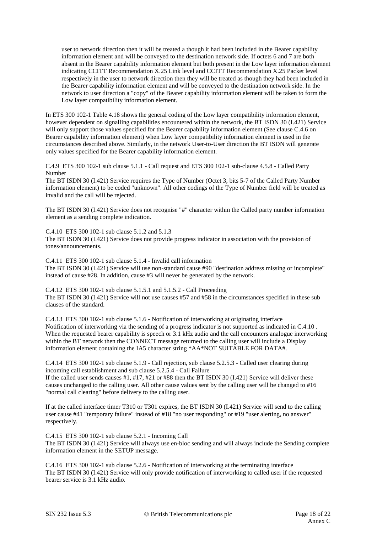user to network direction then it will be treated a though it had been included in the Bearer capability information element and will be conveyed to the destination network side. If octets 6 and 7 are both absent in the Bearer capability information element but both present in the Low layer information element indicating CCITT Recommendation X.25 Link level and CCITT Recommendation X.25 Packet level respectively in the user to network direction then they will be treated as though they had been included in the Bearer capability information element and will be conveyed to the destination network side. In the network to user direction a "copy" of the Bearer capability information element will be taken to form the Low layer compatibility information element.

In ETS 300 102-1 Table 4.18 shows the general coding of the Low layer compatibility information element, however dependent on signalling capabilities encountered within the network, the BT ISDN 30 (I.421) Service will only support those values specified for the Bearer capability information element (See clause C.4.6 on Bearer capability information element) when Low layer compatibility information element is used in the circumstances described above. Similarly, in the network User-to-User direction the BT ISDN will generate only values specified for the Bearer capability information element.

C.4.9 ETS 300 102-1 sub clause 5.1.1 - Call request and ETS 300 102-1 sub-clause 4.5.8 - Called Party Number

The BT ISDN 30 (I.421) Service requires the Type of Number (Octet 3, bits 5-7 of the Called Party Number information element) to be coded "unknown". All other codings of the Type of Number field will be treated as invalid and the call will be rejected.

The BT ISDN 30 (I.421) Service does not recognise "#" character within the Called party number information element as a sending complete indication.

C.4.10 ETS 300 102-1 sub clause 5.1.2 and 5.1.3 The BT ISDN 30 (I.421) Service does not provide progress indicator in association with the provision of tones/announcements.

C.4.11 ETS 300 102-1 sub clause 5.1.4 - Invalid call information The BT ISDN 30 (I.421) Service will use non-standard cause #90 "destination address missing or incomplete" instead of cause #28. In addition, cause #3 will never be generated by the network.

C.4.12 ETS 300 102-1 sub clause 5.1.5.1 and 5.1.5.2 - Call Proceeding The BT ISDN 30 (I.421) Service will not use causes #57 and #58 in the circumstances specified in these sub clauses of the standard.

C.4.13 ETS 300 102-1 sub clause 5.1.6 - Notification of interworking at originating interface Notification of interworking via the sending of a progress indicator is not supported as indicated in C.4.10 . When the requested bearer capability is speech or 3.1 kHz audio and the call encounters analogue interworking within the BT network then the CONNECT message returned to the calling user will include a Display information element containing the IA5 character string \*AA\*NOT SUITABLE FOR DATA#.

C.4.14 ETS 300 102-1 sub clause 5.1.9 - Call rejection, sub clause 5.2.5.3 - Called user clearing during incoming call establishment and sub clause 5.2.5.4 - Call Failure

If the called user sends causes #1, #17, #21 or #88 then the BT ISDN 30 (I.421) Service will deliver these causes unchanged to the calling user. All other cause values sent by the calling user will be changed to #16 "normal call clearing" before delivery to the calling user.

If at the called interface timer T310 or T301 expires, the BT ISDN 30 (I.421) Service will send to the calling user cause #41 "temporary failure" instead of #18 "no user responding" or #19 "user alerting, no answer" respectively.

C.4.15 ETS 300 102-1 sub clause 5.2.1 - Incoming Call

The BT ISDN 30 (I.421) Service will always use en-bloc sending and will always include the Sending complete information element in the SETUP message.

C.4.16 ETS 300 102-1 sub clause 5.2.6 - Notification of interworking at the terminating interface The BT ISDN 30 (I.421) Service will only provide notification of interworking to called user if the requested bearer service is 3.1 kHz audio.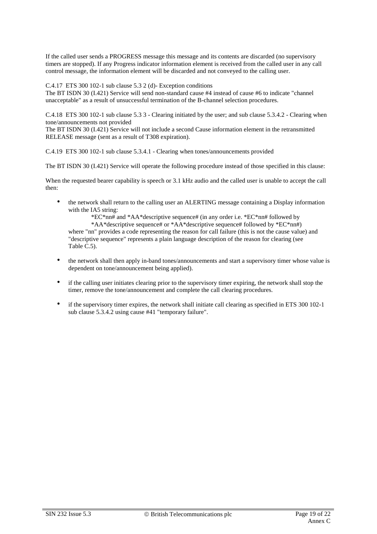If the called user sends a PROGRESS message this message and its contents are discarded (no supervisory timers are stopped). If any Progress indicator information element is received from the called user in any call control message, the information element will be discarded and not conveyed to the calling user.

C.4.17 ETS 300 102-1 sub clause 5.3 2 (d)- Exception conditions

The BT ISDN 30 (I.421) Service will send non-standard cause #4 instead of cause #6 to indicate "channel unacceptable" as a result of unsuccessful termination of the B-channel selection procedures.

C.4.18 ETS 300 102-1 sub clause 5.3 3 - Clearing initiated by the user; and sub clause 5.3.4.2 - Clearing when tone/announcements not provided

The BT ISDN 30 (I.421) Service will not include a second Cause information element in the retransmitted RELEASE message (sent as a result of T308 expiration).

C.4.19 ETS 300 102-1 sub clause 5.3.4.1 - Clearing when tones/announcements provided

The BT ISDN 30 (I.421) Service will operate the following procedure instead of those specified in this clause:

When the requested bearer capability is speech or 3.1 kHz audio and the called user is unable to accept the call then:

• the network shall return to the calling user an ALERTING message containing a Display information with the IA5 string:

\*EC\*nn# and \*AA\*descriptive sequence# (in any order i.e. \*EC\*nn# followed by \*AA\*descriptive sequence# or \*AA\*descriptive sequence# followed by \*EC\*nn#) where "nn" provides a code representing the reason for call failure (this is not the cause value) and "descriptive sequence" represents a plain language description of the reason for clearing (see Table C.5).

- the network shall then apply in-band tones/announcements and start a supervisory timer whose value is dependent on tone/announcement being applied).
- if the calling user initiates clearing prior to the supervisory timer expiring, the network shall stop the timer, remove the tone/announcement and complete the call clearing procedures.
- if the supervisory timer expires, the network shall initiate call clearing as specified in ETS 300 102-1 sub clause 5.3.4.2 using cause #41 "temporary failure".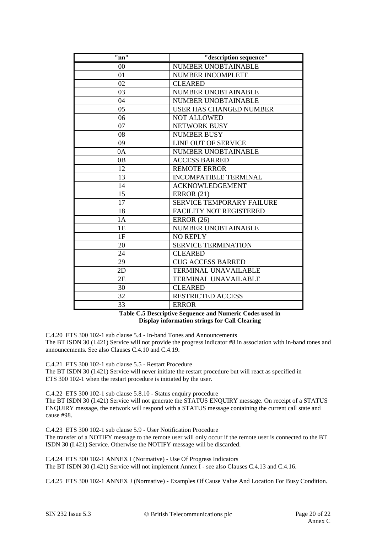| "nn" | "description sequence"           |
|------|----------------------------------|
| 00   | NUMBER UNOBTAINABLE              |
| 01   | NUMBER INCOMPLETE                |
| 02   | <b>CLEARED</b>                   |
| 03   | NUMBER UNOBTAINABLE              |
| 04   | <b>NUMBER UNOBTAINABLE</b>       |
| 05   | <b>USER HAS CHANGED NUMBER</b>   |
| 06   | <b>NOT ALLOWED</b>               |
| 07   | NETWORK BUSY                     |
| 08   | <b>NUMBER BUSY</b>               |
| 09   | LINE OUT OF SERVICE              |
| 0A   | <b>NUMBER UNOBTAINABLE</b>       |
| 0B   | <b>ACCESS BARRED</b>             |
| 12   | <b>REMOTE ERROR</b>              |
| 13   | <b>INCOMPATIBLE TERMINAL</b>     |
| 14   | <b>ACKNOWLEDGEMENT</b>           |
| 15   | <b>ERROR</b> (21)                |
| 17   | <b>SERVICE TEMPORARY FAILURE</b> |
| 18   | <b>FACILITY NOT REGISTERED</b>   |
| 1A   | <b>ERROR</b> (26)                |
| 1E   | NUMBER UNOBTAINABLE              |
| 1F   | <b>NO REPLY</b>                  |
| 20   | <b>SERVICE TERMINATION</b>       |
| 24   | <b>CLEARED</b>                   |
| 29   | <b>CUG ACCESS BARRED</b>         |
| 2D   | <b>TERMINAL UNAVAILABLE</b>      |
| 2E   | <b>TERMINAL UNAVAILABLE</b>      |
| 30   | <b>CLEARED</b>                   |
| 32   | <b>RESTRICTED ACCESS</b>         |
| 33   | <b>ERROR</b>                     |

**Table C.5 Descriptive Sequence and Numeric Codes used in Display information strings for Call Clearing**

C.4.20 ETS 300 102-1 sub clause 5.4 - In-band Tones and Announcements The BT ISDN 30 (I.421) Service will not provide the progress indicator #8 in association with in-band tones and announcements. See also Clauses C.4.10 and C.4.19.

C.4.21 ETS 300 102-1 sub clause 5.5 - Restart Procedure

The BT ISDN 30 (I.421) Service will never initiate the restart procedure but will react as specified in ETS 300 102-1 when the restart procedure is initiated by the user.

C.4.22 ETS 300 102-1 sub clause 5.8.10 - Status enquiry procedure The BT ISDN 30 (I.421) Service will not generate the STATUS ENQUIRY message. On receipt of a STATUS ENQUIRY message, the network will respond with a STATUS message containing the current call state and cause #98.

C.4.23 ETS 300 102-1 sub clause 5.9 - User Notification Procedure The transfer of a NOTIFY message to the remote user will only occur if the remote user is connected to the BT ISDN 30 (I.421) Service. Otherwise the NOTIFY message will be discarded.

C.4.24 ETS 300 102-1 ANNEX I (Normative) - Use Of Progress Indicators The BT ISDN 30 (I.421) Service will not implement Annex I - see also Clauses C.4.13 and C.4.16.

C.4.25 ETS 300 102-1 ANNEX J (Normative) - Examples Of Cause Value And Location For Busy Condition.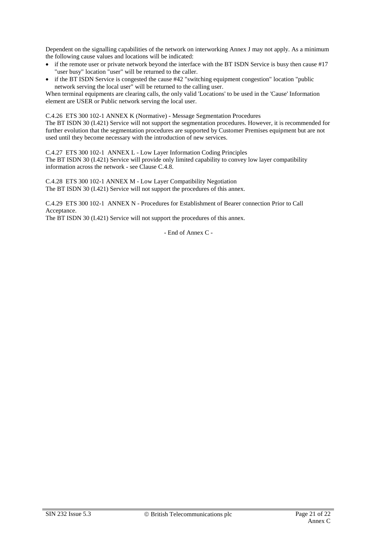Dependent on the signalling capabilities of the network on interworking Annex J may not apply. As a minimum the following cause values and locations will be indicated:

- if the remote user or private network beyond the interface with the BT ISDN Service is busy then cause #17 "user busy" location "user" will be returned to the caller.
- if the BT ISDN Service is congested the cause #42 "switching equipment congestion" location "public network serving the local user" will be returned to the calling user.

When terminal equipments are clearing calls, the only valid 'Locations' to be used in the 'Cause' Information element are USER or Public network serving the local user.

C.4.26 ETS 300 102-1 ANNEX K (Normative) - Message Segmentation Procedures

The BT ISDN 30 (I.421) Service will not support the segmentation procedures. However, it is recommended for further evolution that the segmentation procedures are supported by Customer Premises equipment but are not used until they become necessary with the introduction of new services.

C.4.27 ETS 300 102-1 ANNEX L - Low Layer Information Coding Principles The BT ISDN 30 (I.421) Service will provide only limited capability to convey low layer compatibility information across the network - see Clause C.4.8.

C.4.28 ETS 300 102-1 ANNEX M - Low Layer Compatibility Negotiation The BT ISDN 30 (I.421) Service will not support the procedures of this annex.

C.4.29 ETS 300 102-1 ANNEX N - Procedures for Establishment of Bearer connection Prior to Call Acceptance.

The BT ISDN 30 (I.421) Service will not support the procedures of this annex.

- End of Annex C -